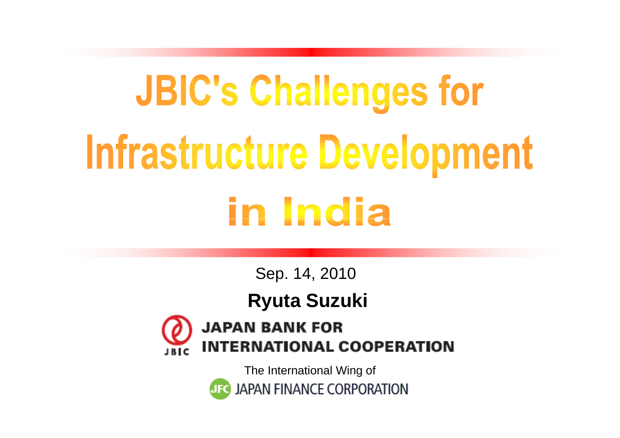# **JBIC's Challenges for** Infrastructure Development in India

Sep. 14, 2010

**Ryuta Suzuki**



**JAPAN BANK FOR INTERNATIONAL COOPERATION** 

> The International Wing ofJAPAN FINANCE CORPORATION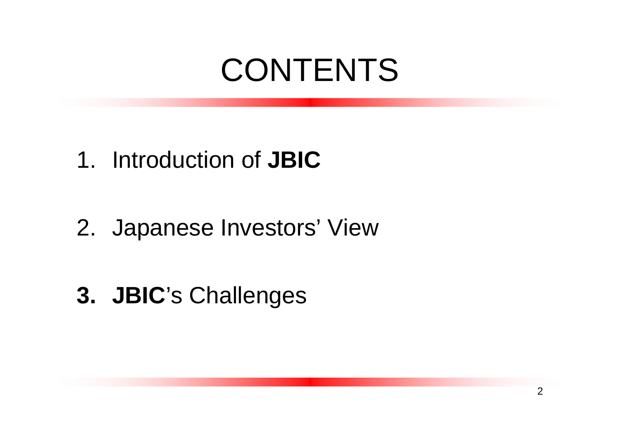#### 1. Introduction of **JBIC**

- 2. Japanese Investors' View
- **3. JBIC**'s Challenges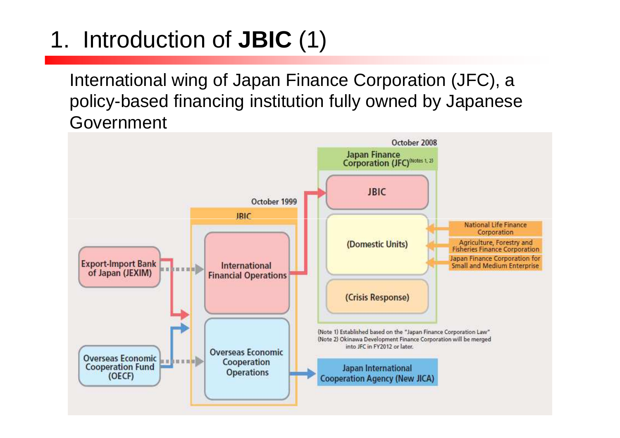## 1. Introduction of **JBIC** (1)

International wing of Japan Finance Corporation (JFC), a policy-based financing institution fully owned by Japanese Government

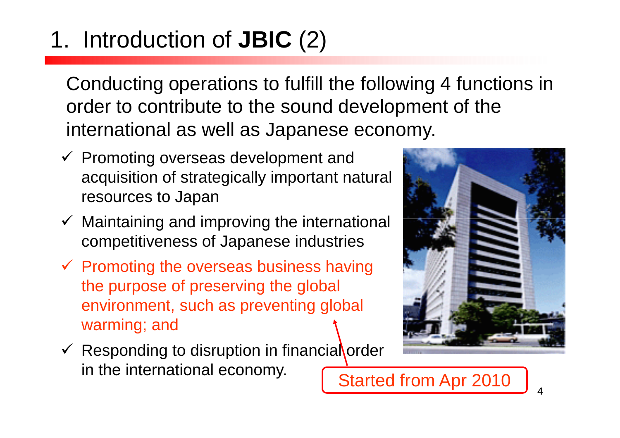## 1. Introduction of **JBIC** (2)

Conducting operations to fulfill the following 4 functions in order to contribute to the sound development of theinternational as well as Japanese economy.

- ← Promoting overseas development and acquisition of strategically important natural resources to Japan
- $\checkmark$  Maintaining and improving the international competitiveness of Japanese industries
- ← Promoting the overseas business having<br>the purpose of presenting the global the purpose of preserving the global environment, such as preventing global warming; and



← Responding to disruption in financial order in the international economy.<br>
Started from Apr 2010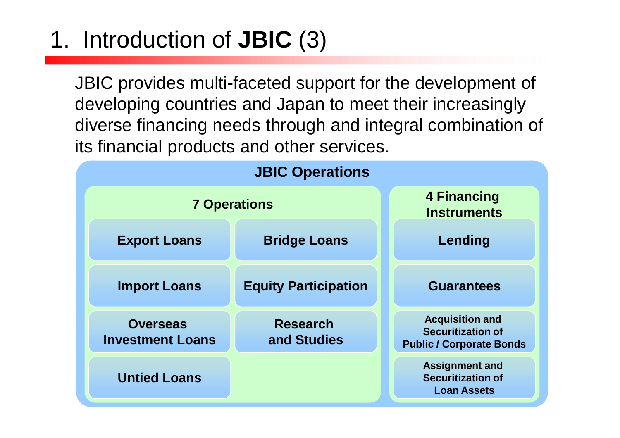## 1. Introduction of **JBIC** (3)

JBIC provides multi-faceted support for the development of developing countries and Japan to meet their increasingly diverse financing needs through and integral combination of its financial products and other services.

| <b>JBIC Operations</b>                     |                                |                                                                                       |  |
|--------------------------------------------|--------------------------------|---------------------------------------------------------------------------------------|--|
| <b>7 Operations</b>                        |                                | 4 Financing<br><b>Instruments</b>                                                     |  |
| <b>Export Loans</b>                        | <b>Bridge Loans</b>            | Lending                                                                               |  |
| <b>Import Loans</b>                        | <b>Equity Participation</b>    | <b>Guarantees</b>                                                                     |  |
| <b>Overseas</b><br><b>Investment Loans</b> | <b>Research</b><br>and Studies | <b>Acquisition and</b><br><b>Securitization of</b><br><b>Public / Corporate Bonds</b> |  |
| <b>Untied Loans</b>                        |                                | <b>Assignment and</b><br><b>Securitization of</b><br><b>Loan Assets</b>               |  |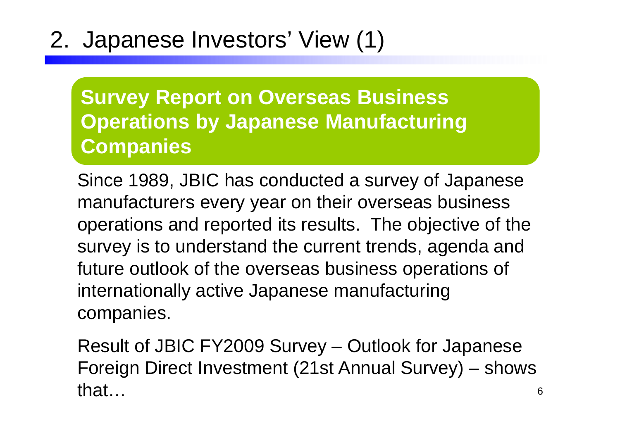#### 2. Japanese Investors' View (1)

**Survey Report on Overseas Business Operations by Japanese Manufacturing Companies**

Since 1989, JBIC has conducted a survey of Japanese manufacturers every year on their overseas business operations and reported its results. The objective of the survey is to understand the current trends, agenda and future outlook of the overseas business operations of internationally active Japanese manufacturing companies.

6Result of JBIC FY2009 Survey – Outlook for Japanese Foreign Direct Investment (21st Annual Survey) – shows that…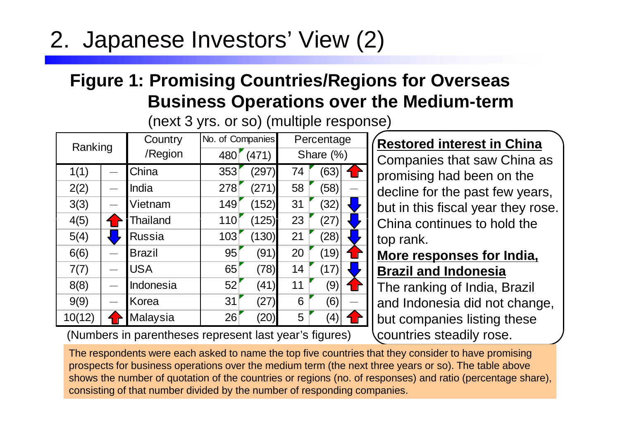#### 2. Japanese Investors' View (2)

#### **Figure 1: Promising Countries/Regions for Overseas Business Operations over the Medium-term**

(next 3 yrs. or so) (multiple response)

| Ranking | Country       | No. of Companies |       |    | Percentage        |  |
|---------|---------------|------------------|-------|----|-------------------|--|
|         | /Region       | 480              | (471) |    | Share (%)         |  |
| 1(1)    | China         | 353              | (297) | 74 | (63)              |  |
| 2(2)    | India         | 278              | (271) | 58 | (58)              |  |
| 3(3)    | Vietnam       | 149              | (152) | 31 | (32)              |  |
| 4(5)    | Thailand      | 110              | (125) | 23 | (27)              |  |
| 5(4)    | <b>Russia</b> | 103              | (130) | 21 | (28)              |  |
| 6(6)    | <b>Brazil</b> | 95               | (91)  | 20 | (19)              |  |
| 7(7)    | <b>USA</b>    | 65               | (78)  | 14 | (17)              |  |
| 8(8)    | Indonesia     | 52               | (41)  | 11 | (9)               |  |
| 9(9)    | Korea         | 31               | (27)  | 6  | (6)               |  |
| 10(12)  | Malaysia      | 26               | 20    | 5  | $\left( 4\right)$ |  |

(Numbers in parentheses represent last year's figures)

**Restored interest in China**

 Companies that saw China as promising had been on the decline for the past few years, but in this fiscal year they rose. China continues to hold the top rank.

#### **More responses for India, Brazil and Indonesia**

 The ranking of India, Brazil and Indonesia did not change, but companies listing these countries steadily rose.

The respondents were each asked to name the top five countries that they consider to have promising prospects for business operations over the medium term (the next three years or so). The table above shows the number of quotation of the countries or regions (no. of responses) and ratio (percentage share), consisting of that number divided by the number of responding companies.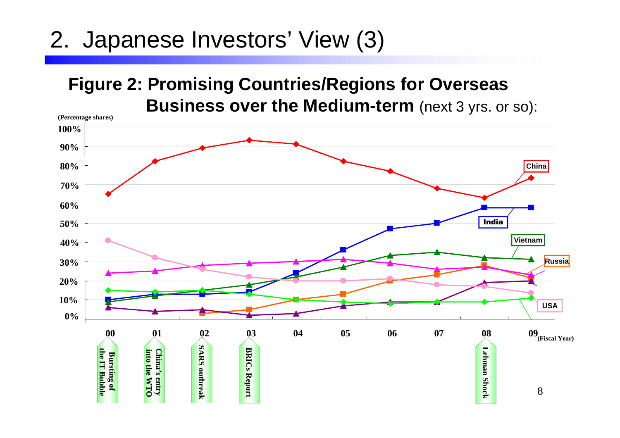#### 2. Japanese Investors' View (3)

#### **Figure 2: Promising Countries/Regions for Overseas Business over the Medium-term** (next 3 yrs. or so):

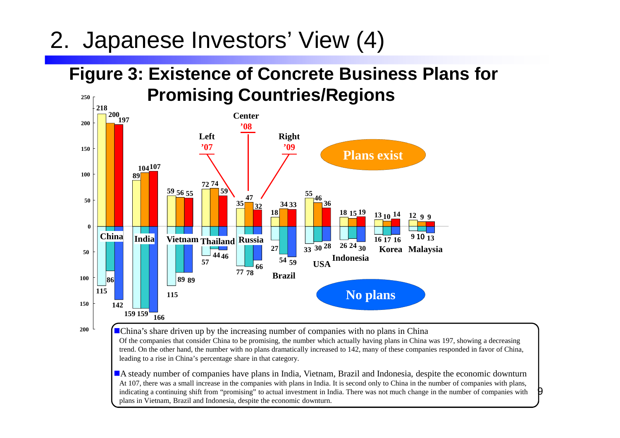#### 2. Japanese Investors' View (4)

**200**

#### **Figure 3: Existence of Concrete Business Plans for Promising Countries/Regions250**



**China's share driven up by the increasing number of companies with no plans in China**  Of the companies that consider China to be promising, the number which actually having plans in China was 197, showing a decreasing trend. On the other hand, the number with no plans dramatically increased to 142, many of these companies responded in favor of China, leading to a rise in China's percentage share in that category.

-A steady number of companies have plans in India, Vietnam, Brazil and Indonesia, despite the economic downturn At 107, there was a small increase in the companies with plans in India. It is second only to China in the number of companies with plans, indicating a continuing shift from "promising" to actual investment in India. There was not much change in the number of companies with plans in Vietnam, Brazil and Indonesia, despite the economic downturn.

9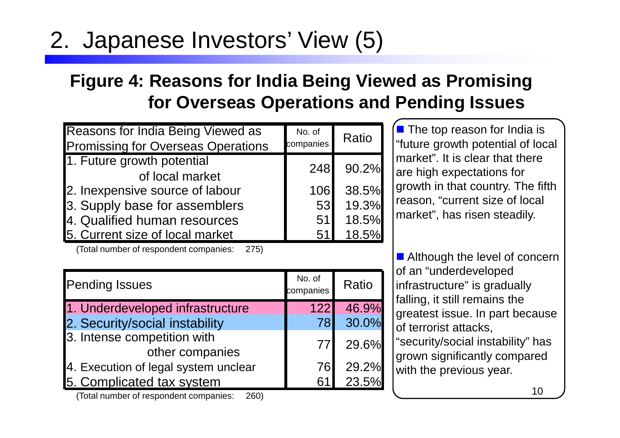#### 2. Japanese Investors' View (5)

#### **Figure 4: Reasons for India Being Viewed as Promising for Overseas Operations and Pending Issues**

| <b>Reasons for India Being Viewed as</b><br><b>Promissing for Overseas Operations</b> | No. of<br>companies | Ratio |
|---------------------------------------------------------------------------------------|---------------------|-------|
| 1. Future growth potential<br>248                                                     |                     | 90.2% |
| of local market                                                                       |                     |       |
| 2. Inexpensive source of labour                                                       | 106                 | 38.5% |
| 3. Supply base for assemblers                                                         | 53                  | 19.3% |
| 4. Qualified human resources                                                          | 51                  | 18.5% |
| 5. Current size of local market                                                       | 51                  | 18.5% |

(Total number of respondent companies: 275)

**The top reason for India is**<br>"future gravith potential of les "future growth potential of local market". It is clear that there are high expectations for growth in that country. The fifth reason, "current size of local market", has risen steadily.

Although the level of concern of an "underdeveloped infrastructure" is gradually falling, it still remains the greatest issue. In part because of terrorist attacks, "security/social instability" has grown significantly compared with the previous year.

| <b>Pending Issues</b>                          | No. of<br>companies | Ratio |
|------------------------------------------------|---------------------|-------|
| 1. Underdeveloped infrastructure               | 122                 | 46.9% |
| 2. Security/social instability                 | 78                  | 30.0% |
| 3. Intense competition with<br>other companies | 77I                 | 29.6% |
| 4. Execution of legal system unclear           | 76                  | 29.2% |
| 5. Complicated tax system                      | 61                  | 23.5% |
| (Total number of respondent companies:<br>260) |                     |       |

(Total number of respondent companies: 260)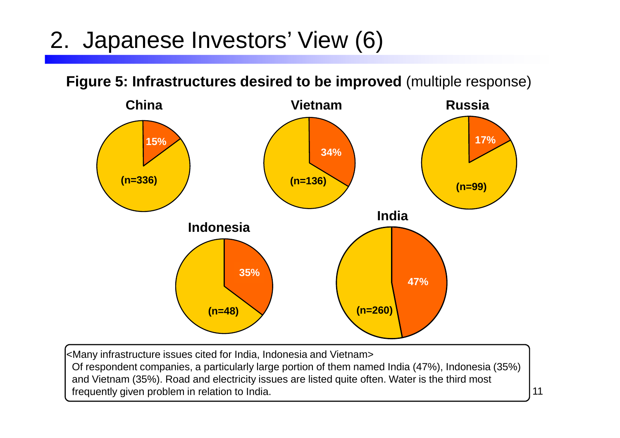#### 2. Japanese Investors' View (6)

**Figure 5: Infrastructures desired to be improved** (multiple response)



<Many infrastructure issues cited for India, Indonesia and Vietnam> Of respondent companies, a particularly large portion of them named India (47%), Indonesia (35%) and Vietnam (35%). Road and electricity issues are listed quite often. Water is the third most frequently given problem in relation to India.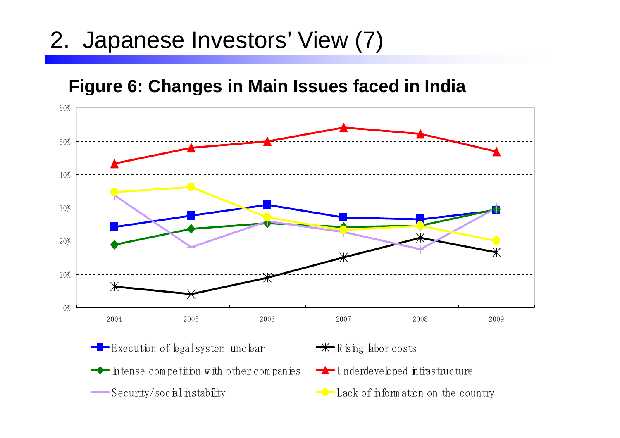#### 2. Japanese Investors' View (7)

#### **Figure 6: Changes in Main Issues faced in India**

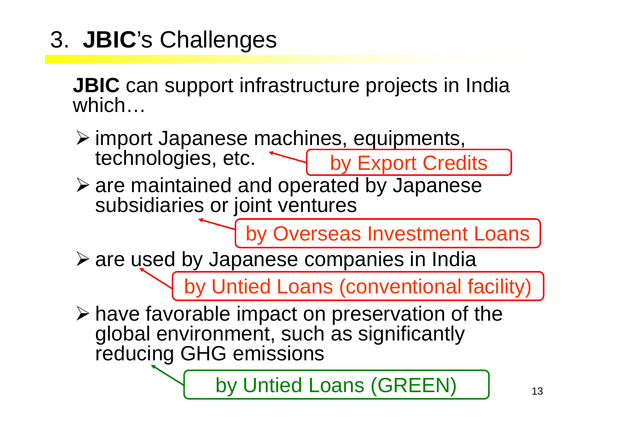3. **JBIC**'s Challenges

**JBIC** can support infrastructure projects in India which…

- import Japanese machines, equipments,<br>Lechnologies etc. technologies, etc. by Export Credits
- are maintained and operated by Japanese<br>Subsidiaries or joint ventures subsidiaries or joint ventures

by Overseas Investment Loans

are used by Japanese companies in India

by Untied Loans (conventional facility)

 $\triangleright$  have favorable impact on preservation of the <br>alobal environment such as significantly global environment, such as significantly reducing GHG emissions

by Untied Loans (GREEN)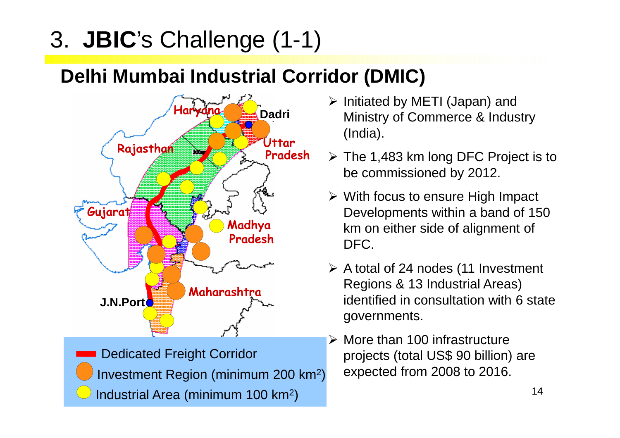### 3. **JBIC**'s Challenge (1-1)

#### **Delhi Mumbai Industrial Corridor (DMIC)**



Dedicated Freight CorridorInvestment Region (minimum 200 km2 )Industrial Area (minimum 100 km2 )

- Initiated by METI (Japan) and<br>Ministry of Commorce 8 Indus Ministry of Commerce & Industry (India).
- $\triangleright$  The 1,483 km long DFC Project is to be commissioned by 2012.
- With focus to ensure High Impact<br>Developments within a band of 15 Developments within a band of 150 km on either side of alignment of DFC.
- A total of 24 nodes (11 Investment Regions & 13 Industrial Areas) identified in consultation with 6 state governments.
- More than 100 infrastructure projects (total US\$ 90 billion) are expected from 2008 to 2016.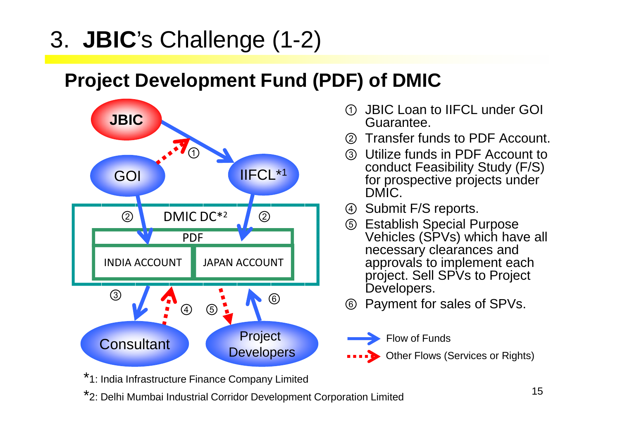#### 3. **JBIC**'s Challenge (1-2)

#### **Project Development Fund (PDF) of DMIC**



- $\bigcirc$  JBIC Loan to IIFCL under GOI Guarantee.
- ②Transfer funds to PDF Account.
- 3) Utilize funds in PDF Account to Utilize funds in PDF Account to conduct Feasibility Study (F/S) for prospective projects under DMIC.
- ④ Submit F/S reports.
- ⑤**2 Britablish Special Purpose**<br> **Establish Special Purpose**<br>
Vehicles (SPVs) which have **ALCORATE 1999 IN STRAIGHT SPECIAL PURPOSE** Vehicles (SPVs) which have all necessary clearances and approvals to implement each project. Sell SPVs to Project Developers.
	- ⑥Payment for sales of SPVs.



\*1: India Infrastructure Finance Company Limited

\*2: Delhi Mumbai Industrial Corridor Development Corporation Limited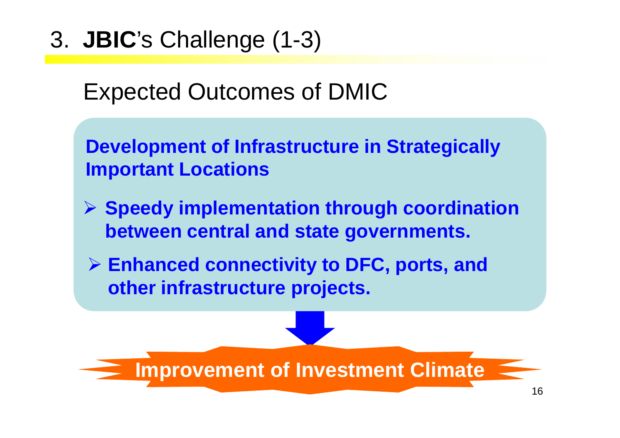3. **JBIC**'s Challenge (1-3)

#### Expected Outcomes of DMIC

**Development of Infrastructure in Strategically Important Locations**

- **Speedy implementation through coordination between central and state governments.**
- **Enhanced connectivity to DFC, ports, and other infrastructure projects.**

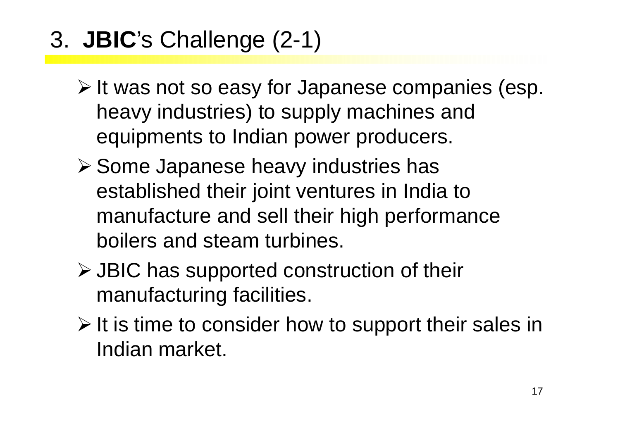- 3. **JBIC**'s Challenge (2-1)
	- $\triangleright$  It was not so easy for Japanese companies (esp. heavy industries) to supply machines and equipments to Indian power producers.
	- Some Japanese heavy industries has established their joint ventures in India to manufacture and sell their high performance boilers and steam turbines.
	- > JBIC has supported construction of their<br>manufacturing facilities manufacturing facilities.
	- $\triangleright$  It is time to consider how to support their sales in<br>Indian market Indian market.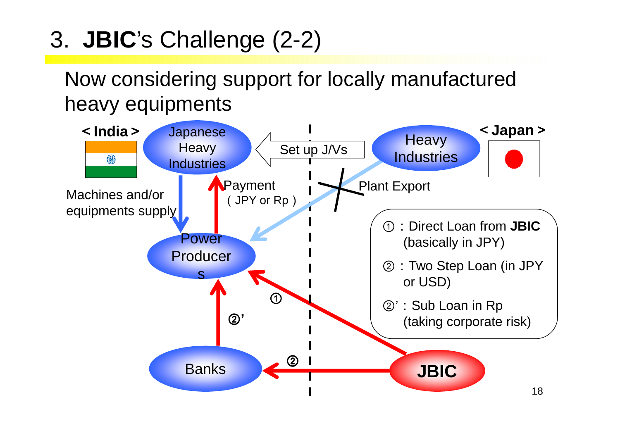3. **JBIC**'s Challenge (2-2)

Now considering support for locally manufactured heavy equipments

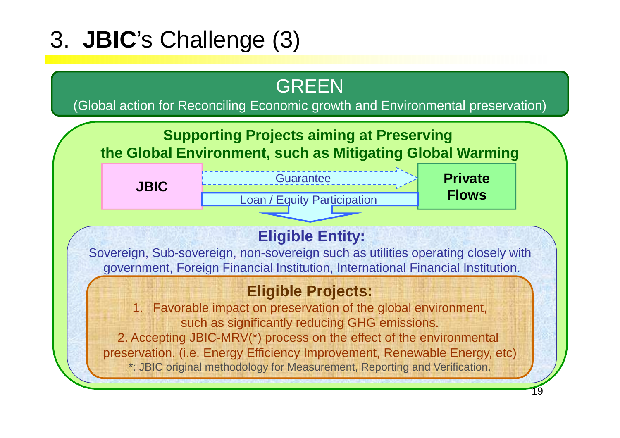### 3. **JBIC**'s Challenge (3)

#### GREEN

(<u>G</u>lobal action for <u>R</u>econciling <u>E</u>conomic growth and <u>En</u>vironmental preservation)

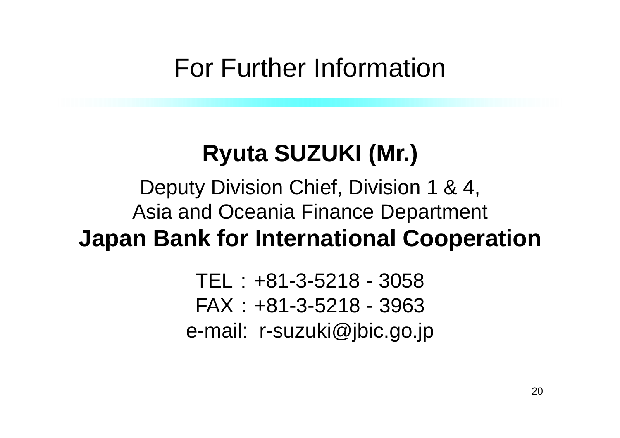#### For Further Information

### **Ryuta SUZUKI (Mr.)**

#### Deputy Division Chief, Division 1 & 4, Asia and Oceania Finance Department**Japan Bank for International Cooperation**

TEL:+81-3-5218 - 3058 FAX:+81-3-5218 - 3963e-mail: r-suzuki@jbic.go.jp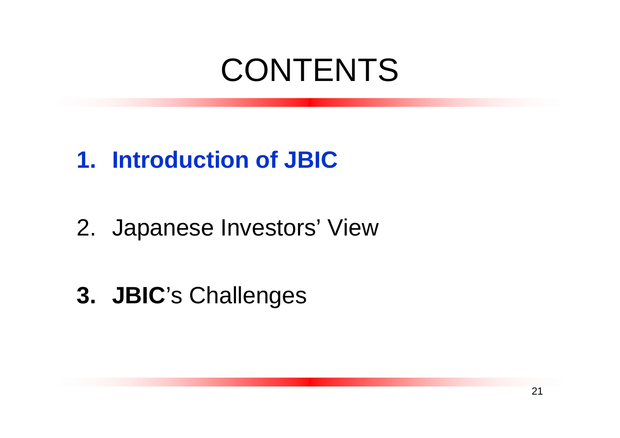#### **1. Introduction of JBIC**

- 2. Japanese Investors' View
- **3. JBIC**'s Challenges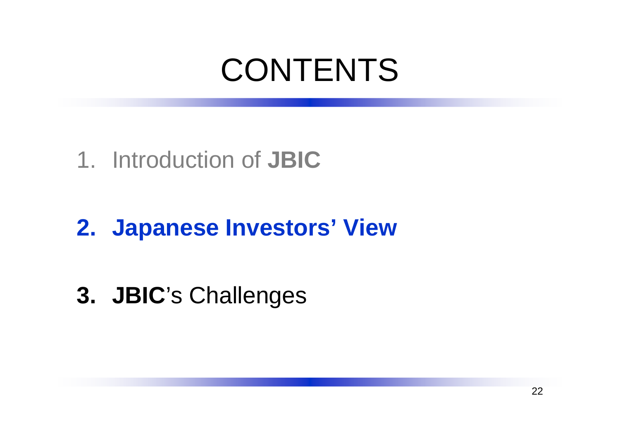#### 1. Introduction of **JBIC**

### **2. Japanese Investors' View**

**3. JBIC**'s Challenges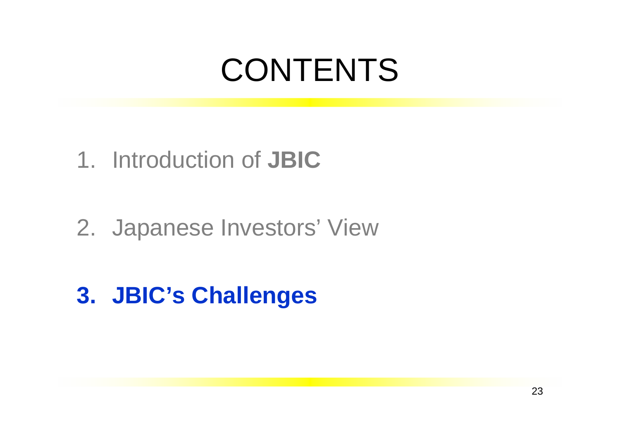#### 1. Introduction of **JBIC**

#### 2. Japanese Investors' View

### **3. JBIC's Challenges**